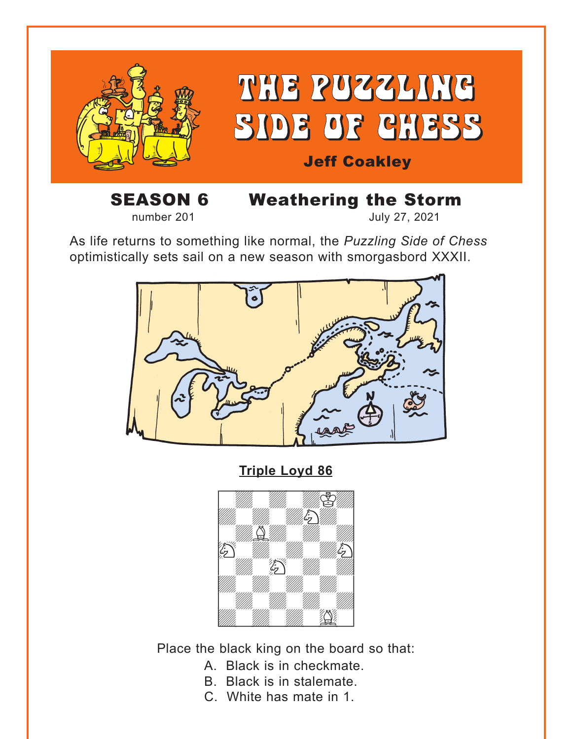<span id="page-0-0"></span>

**SEASON 6 Weathering the Storm**<br>
number 201

July 27, 2021

As life returns to something like normal, the *Puzzling Side of Chess* optimistically sets sail on a new season with smorgasbord XXXII.



**[Triple Loyd 86](#page-6-0)**



Place the black king on the board so that:

- A. Black is in checkmate.
- B. Black is in stalemate.
- C. White has mate in 1.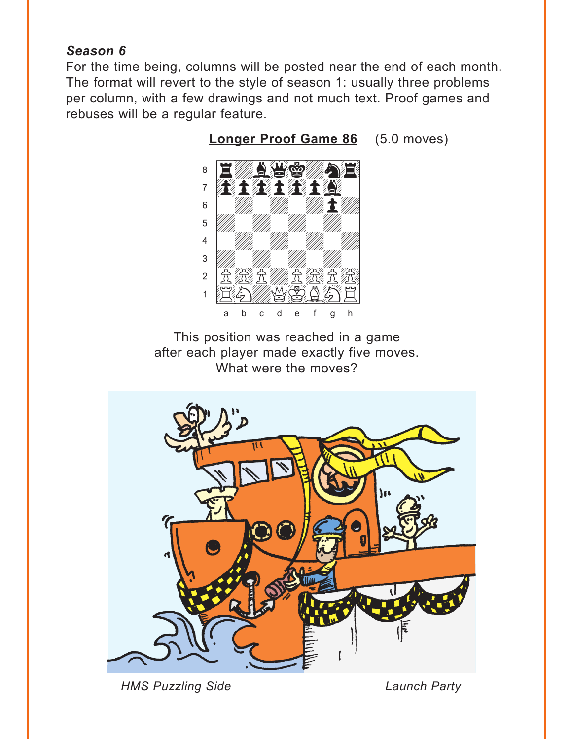# <span id="page-1-0"></span>*Season 6*

For the time being, columns will be posted near the end of each month. The format will revert to the style of season 1: usually three problems per column, with a few drawings and not much text. Proof games and rebuses will be a regular feature.



**[Longer Proof Game 86](#page-7-0)** (5.0 moves)

This position was reached in a game after each player made exactly five moves. What were the moves?



*HMS Puzzling Side Launch Party*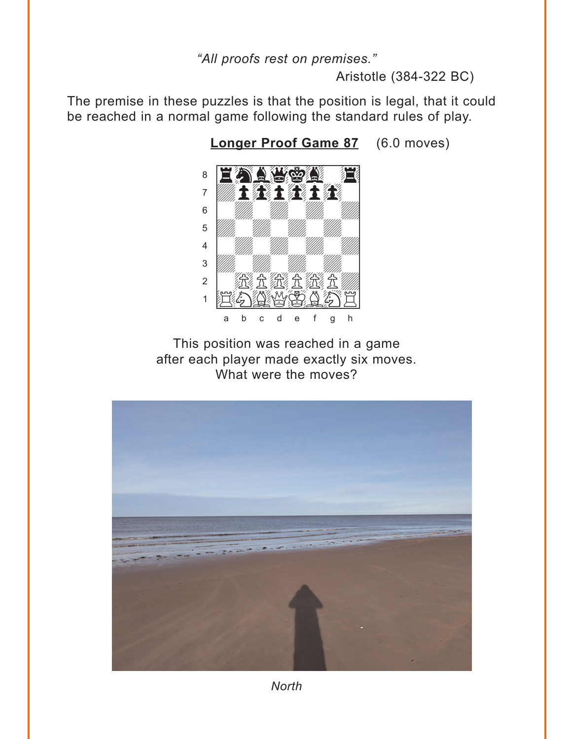### "All proofs rest on premises."

Aristotle (384-322 BC)

<span id="page-2-0"></span>The premise in these puzzles is that the position is legal, that it could be reached in a normal game following the standard rules of play.

8  $\overline{7}$ 主教教士教教士教教  $6\phantom{a}$ 5  $\overline{4}$  $\overline{3}$ 滋全滋全滋全  $\overline{2}$  $\mathbf{1}$ a  $\mathsf{b}$  $\mathbf{C}$  $\overline{d}$  $\mathbf{e}$  $\mathsf{f}$  $\overline{g}$  $h$ 

Longer Proof Game 87 (6.0 moves)

This position was reached in a game after each player made exactly six moves. What were the moves?



**North**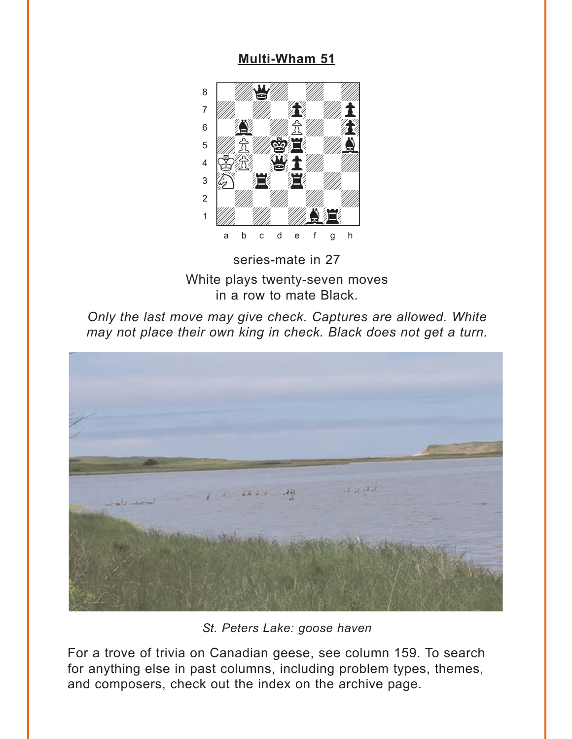# **Multi-Wham 51**

<span id="page-3-0"></span>

series-mate in 27 White plays twenty-seven moves in a row to mate Black.





St. Peters Lake: goose haven

For a trove of trivia on Canadian geese, see column 159. To search for anything else in past columns, including problem types, themes, and composers, check out the index on the archive page.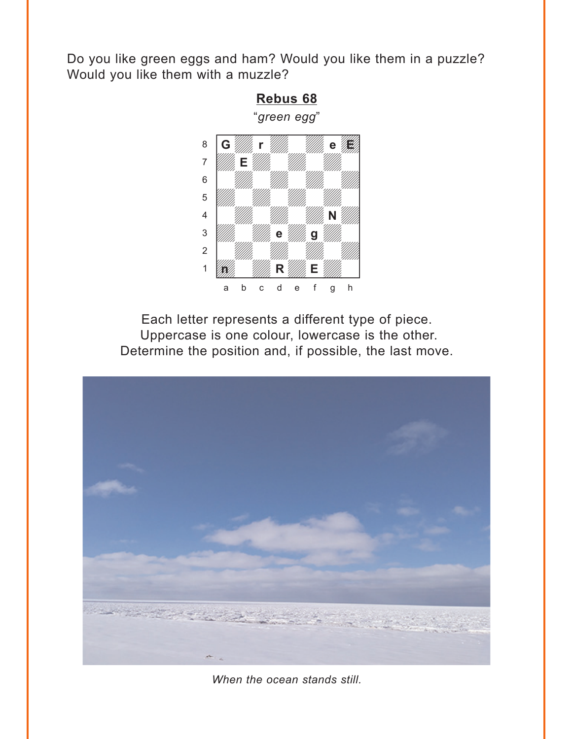<span id="page-4-0"></span>Do you like green eggs and ham? Would you like them in a puzzle? Would you like them with a muzzle?



Each letter represents a different type of piece. Uppercase is one colour, lowercase is the other. Determine the position and, if possible, the last move.



When the ocean stands still.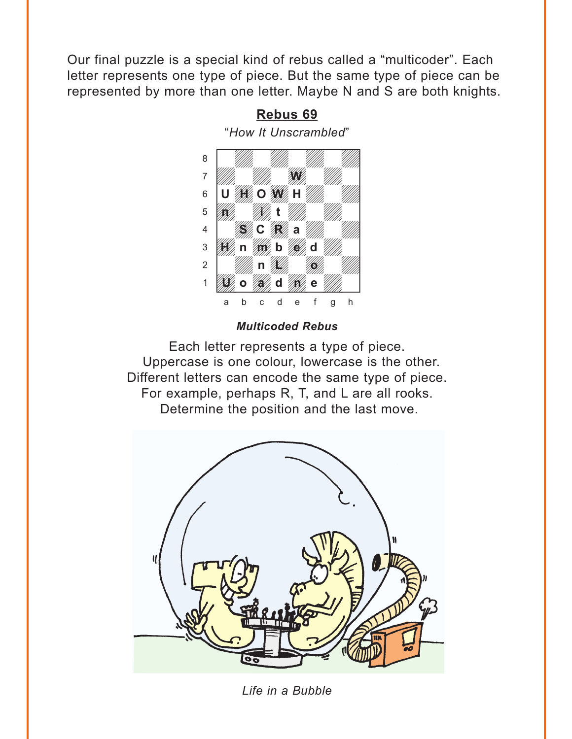<span id="page-5-0"></span>Our final puzzle is a special kind of rebus called a "multicoder". Each letter represents one type of piece. But the same type of piece can be represented by more than one letter. Maybe N and S are both knights.

### **[Rebus 69](#page-11-0)**

"*How It Unscrambled*" w\_\_\_\_\_\_\_\_w



#### *Multicoded Rebus*

Each letter represents a type of piece. Uppercase is one colour, lowercase is the other. Different letters can encode the same type of piece. For example, perhaps R, T, and L are all rooks. Determine the position and the last move.



*Life in a Bubble*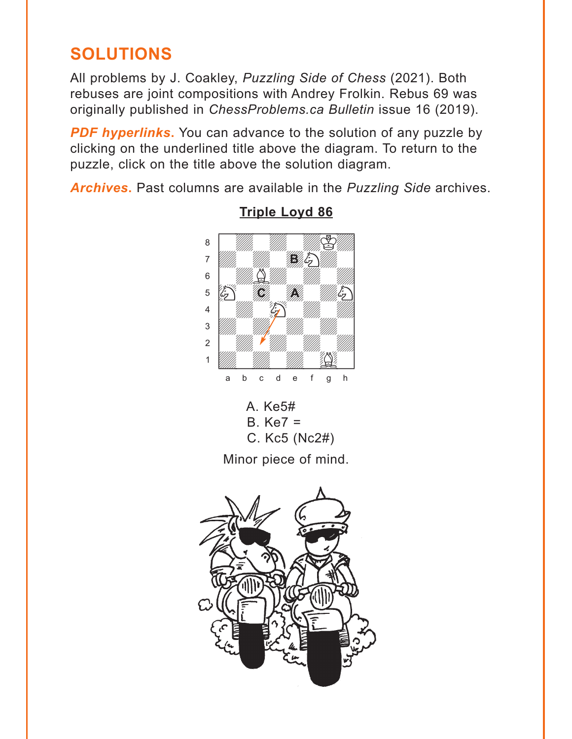# <span id="page-6-0"></span>**SOLUTIONS**

All problems by J. Coakley, *Puzzling Side of Chess* (2021). Both rebuses are joint compositions with Andrey Frolkin. Rebus 69 was originally published in *ChessProblems.ca Bulletin* issue 16 (2019).

**PDF hyperlinks.** You can advance to the solution of any puzzle by clicking on the underlined title above the diagram. To return to the puzzle, click on the title above the solution diagram.

*Archives***.** Past columns are available in the *Puzzling Side* archives.



**[Triple Loyd 86](#page-0-0)**

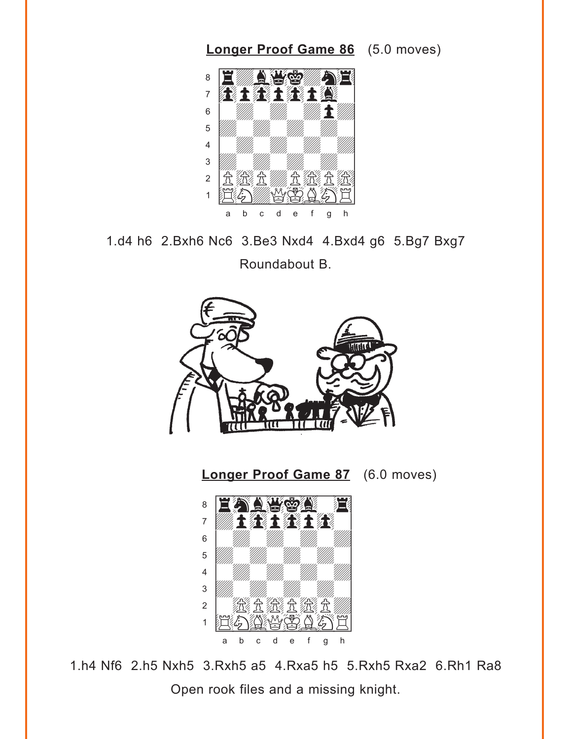<span id="page-7-0"></span>

1.d4 h6 2.Bxh6 Nc6 3.Be3 Nxd4 4.Bxd4 g6 5.Bg7 Bxg7

Roundabout B.



**[Longer Proof Game 87](#page-2-0)** (6.0 moves)



1.h4 Nf6 2.h5 Nxh5 3.Rxh5 a5 4.Rxa5 h5 5.Rxh5 Rxa2 6.Rh1 Ra8 Open rook files and a missing knight.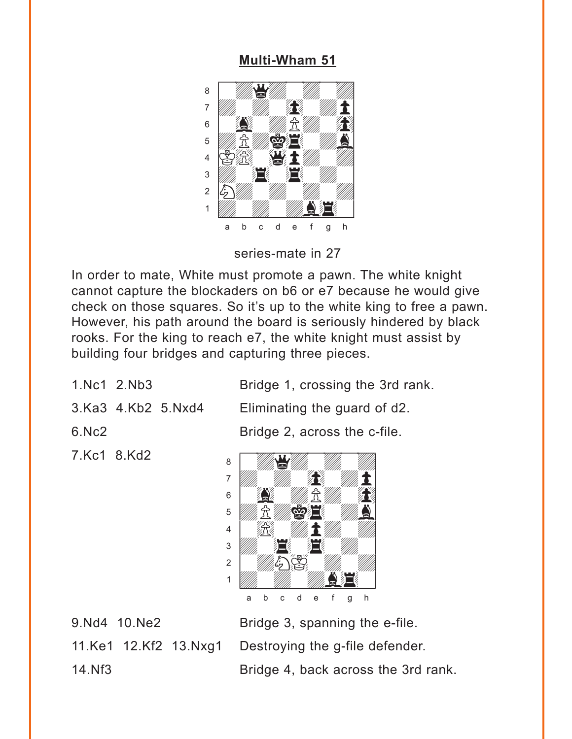### **[Multi-Wham 51](#page-3-0)**

<span id="page-8-0"></span>

series-mate in 27

In order to mate, White must promote a pawn. The white knight cannot capture the blockaders on b6 or e7 because he would give check on those squares. So it's up to the white king to free a pawn. However, his path around the board is seriously hindered by black rooks. For the king to reach e7, the white knight must assist by building four bridges and capturing three pieces.

1.Nc1 2.Nb3 Bridge 1, crossing the 3rd rank.

3.Ka3 4.Kb2 5.Nxd4 Eliminating the guard of d2.

7.Kc1 8.Kd2

6.Nc2 Bridge 2, across the c-file.



9. Nd4 10. Ne2 Bridge 3, spanning the e-file. 11.Ke1 12.Kf2 13.Nxg1 Destroying the g-file defender. 14.Nf3 Bridge 4, back across the 3rd rank.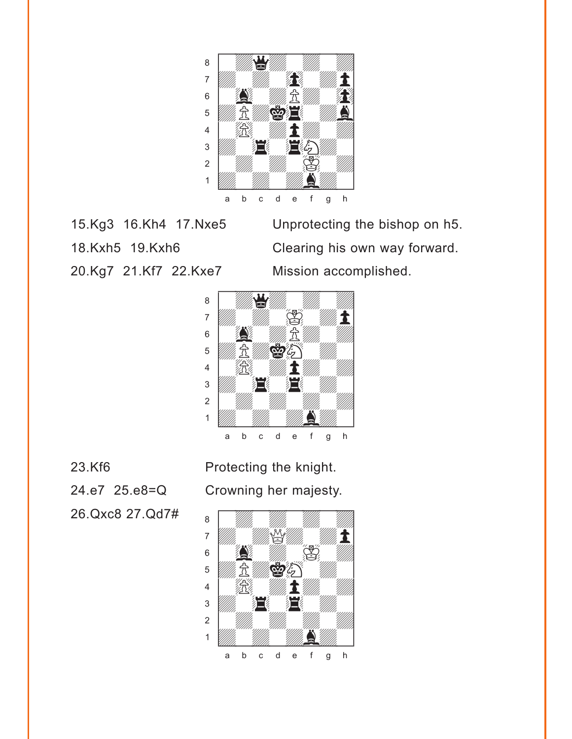

20.Kg7 21.Kf7 22.Kxe7 Mission accomplished.

15.Kg3 16.Kh4 17.Nxe5 Unprotecting the bishop on h5. 18.Kxh5 19.Kxh6 Clearing his own way forward.



26.Qxc8 27.Qd7#

23.Kf6 Protecting the knight. 24.e7 25.e8=Q Crowning her majesty.

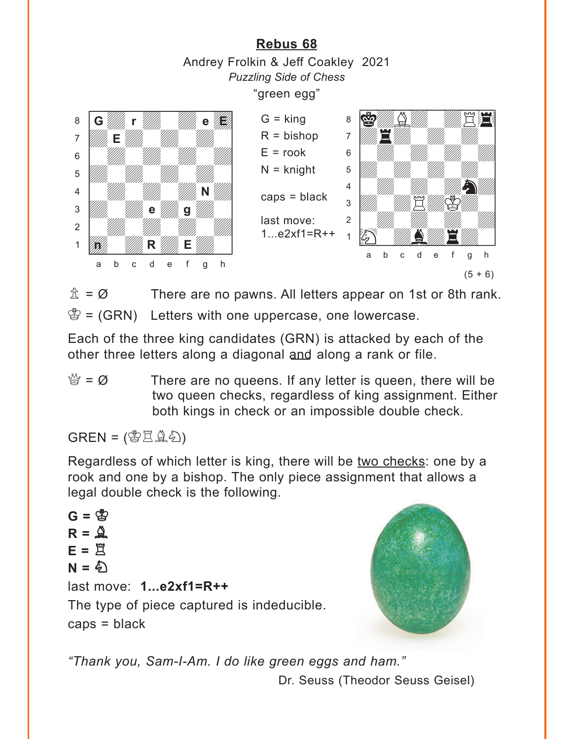<span id="page-10-0"></span>**[Rebus 68](#page-4-0)** Andrey Frolkin & Jeff Coakley 2021 *Puzzling Side of Chess* "green egg" with the set of the set of the set of the set of the set of the set of the set of the set of the set of the set of the set of the set of the set of the set of the set of the set of the set of the set of the set of the set  $\mathbf{g}$  of  $\mathbf{g}$  of  $\mathbf{g}$  ,  $\mathbf{g}$  ,  $\mathbf{g}$  ,  $\mathbf{g}$  ,  $\mathbf{g}$  ,  $\mathbf{g}$  ,  $\mathbf{g}$  ,  $\mathbf{g}$  ,  $\mathbf{g}$  ,  $\mathbf{g}$  ,  $\mathbf{g}$  ,  $\mathbf{g}$  ,  $\mathbf{g}$  ,  $\mathbf{g}$  ,  $\mathbf{g}$  ,  $\mathbf{g}$  ,  $\mathbf{g}$  ,  $\mathbf{g}$  ,  $\overline{a}$  and  $\overline{a}$  and  $\overline{a}$  and  $\overline{a}$  and  $\overline{a}$  and  $\overline{a}$  and  $\overline{a}$  and  $\overline{a}$  and  $\overline{a}$  and  $\overline{a}$  and  $\overline{a}$  and  $\overline{a}$  and  $\overline{a}$  and  $\overline{a}$  and  $\overline{a}$  and  $\overline{a}$  and  $\overline{a}$  and 6 William William William William **b** William William William Company and the Company of the Company of the Company of the Company of the Company of the Company of the Company of the Company of the Company of the Company of the Company of the Company of th 4 *William William William New York 1999* 3 William e William 9 William 1 2 *William William William William William William William William William William William William William William William William William William William William William William William William William William William Wil* 1 **Way 1990 R** William E William 1 a b c d e f g h with the set of the set of the set of the set of the set of the set of the set of the set of the set of the set of the set of the set of the set of the set of the set of the set of the set of the set of the set of the set ákdBdwdR4] àdrdwdwdw] 6 William William William William **b** William William William Company and the William Company of the William Company of the William Company of the William Company of the Company of the Company of the Company of the Company of the Company of the Company of 4 William William William Street  $\frac{1}{\sqrt{2}}$ 2 | *William William William William 1999*  $\left\| \begin{array}{cc} \mathbf{1} & \mathbf{1} & \mathbf{1} & \mathbf{1} \\ \mathbf{1} & \mathbf{1} & \mathbf{1} & \mathbf{1} \\ \mathbf{1} & \mathbf{1} & \mathbf{1} & \mathbf{1} \\ \mathbf{1} & \mathbf{1} & \mathbf{1} & \mathbf{1} \\ \mathbf{1} & \mathbf{1} & \mathbf{1} & \mathbf{1} \\ \mathbf{1} & \mathbf{1} & \mathbf{1} & \mathbf{1} \\ \mathbf{1} & \mathbf{1} & \mathbf{1} & \mathbf{1} \\ \mathbf{1} & \mathbf{1}$ a b c d e f g h **G r eE E N e g 1977, The R Willie E Villa**  $G =$  king  $R = b$ ishop  $E =$ rook  $N =$  knight  $caps = black$ last move: 1...e2xf1=R++  $(5 + 6)$ 

 $\hat{\mathbb{Z}} = \emptyset$  There are no pawns. All letters appear on 1st or 8th rank.  $\mathcal{B} = (GRN)$  Letters with one uppercase, one lowercase.

Each of the three king candidates (GRN) is attacked by each of the other three letters along a diagonal and along a rank or file.

 $\mathbb{S} = \emptyset$  There are no queens. If any letter is queen, there will be two queen checks, regardless of king assignment. Either both kings in check or an impossible double check.

 $GREN = (\mathcal{B} \rightrightarrows \rightrightarrows \rightrightarrows \rightrightarrows$ )

Regardless of which letter is king, there will be two checks: one by a rook and one by a bishop. The only piece assignment that allows a legal double check is the following.

 $G = \mathbb{S}$  $R = \mathbf{Q}$ **E =** R  $N = \hat{\phi}$ last move: **1...e2xf1=R++** The type of piece captured is indeducible. caps = black



*"Thank you, Sam-I-Am. I do like green eggs and ham."*

Dr. Seuss (Theodor Seuss Geisel)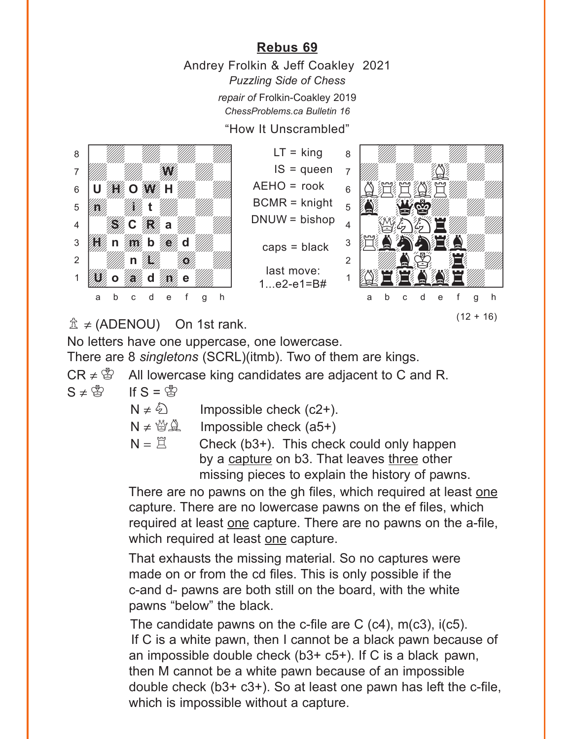# **[Rebus 69](#page-5-0)**

Andrey Frolkin & Jeff Coakley 2021 *Puzzling Side of Chess repair of* Frolkin-Coakley 2019 *ChessProblems.ca Bulletin 16*

"How It Unscrambled"

<span id="page-11-0"></span>

 $LT =$  king  $IS = queue$  $ACHO = rook$ BCMR = knight DNUW = bishop  $caps = black$ last move: 1.  $e^2 - e^1 = B#$ 



 $\hat{\mathbb{Z}} \neq$  (ADENOU) On 1st rank.

No letters have one uppercase, one lowercase.

There are 8 *singletons* (SCRL)(itmb). Two of them are kings.

 $CR \neq \mathcal{B}$  All lowercase king candidates are adjacent to C and R.

 $S \neq \overset{\circ}{\otimes}$  If  $S = \overset{\circ}{\otimes}$ 

 $N \neq \&$  Impossible check (c2+).

 $N \neq \mathcal{B}(\mathcal{A})$  Impossible check (a5+)

 $N = \Xi$  Check (b3+). This check could only happen by a capture on b3. That leaves three other missing pieces to explain the history of pawns.

There are no pawns on the gh files, which required at least one capture. There are no lowercase pawns on the ef files, which required at least one capture. There are no pawns on the a-file, which required at least one capture.

That exhausts the missing material. So no captures were made on or from the cd files. This is only possible if the c-and d- pawns are both still on the board, with the white pawns "below" the black.

The candidate pawns on the c-file are  $C$  (c4), m(c3), i(c5). If C is a white pawn, then I cannot be a black pawn because of an impossible double check (b3+ c5+). If C is a black pawn, then M cannot be a white pawn because of an impossible double check (b3+ c3+). So at least one pawn has left the c-file, which is impossible without a capture.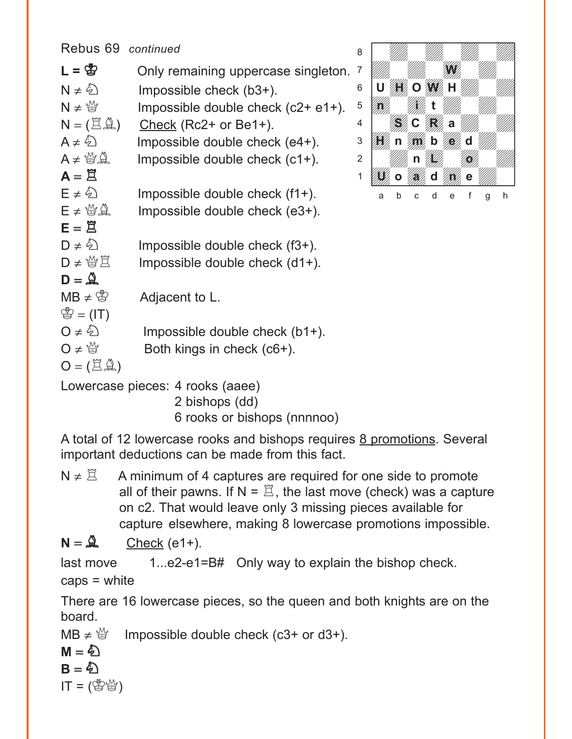Rebus 69 *continued*  $L = \frac{R}{Q}$  Only remaining uppercase singleton. 7  $N \neq \hat{\mathbb{Z}}$  Impossible check (b3+).  $N \neq \frac{M}{Q}$  Impossible double check (c2+ e1+).  $N = (\mathbb{Z}\mathbb{Z})$  Check (Rc2+ or Be1+).  $A \neq \hat{\&}$  Impossible double check (e4+).  $A \neq \mathbb{Q} \mathbb{Q}$  Impossible double check (c1+).  $A = \overline{B}$  $E \neq \hat{\mathbb{Q}}$  Impossible double check (f1+).  $E \neq \mathcal{B} \hat{\mathcal{A}}$  Impossible double check (e3+).  $E = \overline{\mu}$  $D \neq \hat{D}$  Impossible double check (f3+).  $D \neq \frac{M}{Q}$  Impossible double check (d1+).  $D = \overset{\wedge}{\Delta}$  $MB \neq \mathcal{B}$  Adjacent to L.  $\mathcal{L} = (IT)$  $O \neq \hat{O}$  Impossible double check (b1+).  $\mathsf{O} \neq \mathcal{Q}$  Both kings in check (c6+).  $O = (\Xi \hat{\mathbb{Z}})$ Lowercase pieces: 4 rooks (aaee)



2 bishops (dd)

6 rooks or bishops (nnnnoo)

A total of 12 lowercase rooks and bishops requires 8 promotions. Several important deductions can be made from this fact.

 $N \neq \mathbb{Z}$  A minimum of 4 captures are required for one side to promote all of their pawns. If  $N = \mathbb{Z}$ , the last move (check) was a capture on c2. That would leave only 3 missing pieces available for capture elsewhere, making 8 lowercase promotions impossible.

 $N = \mathcal{Q}$  Check (e1+).

last move 1...e2-e1=B# Only way to explain the bishop check.

$$
caps = white
$$

There are 16 lowercase pieces, so the queen and both knights are on the board.

 $MB \neq \frac{M}{Q}$  Impossible double check (c3+ or d3+).

$$
\mathbb{M}=\bigcirc\limits^\mathbb{A}
$$

$$
B=\overset{\mathbb{A}}{\mathfrak{D}}
$$

 $IT = (\mathbb{S} \mathbb{S})$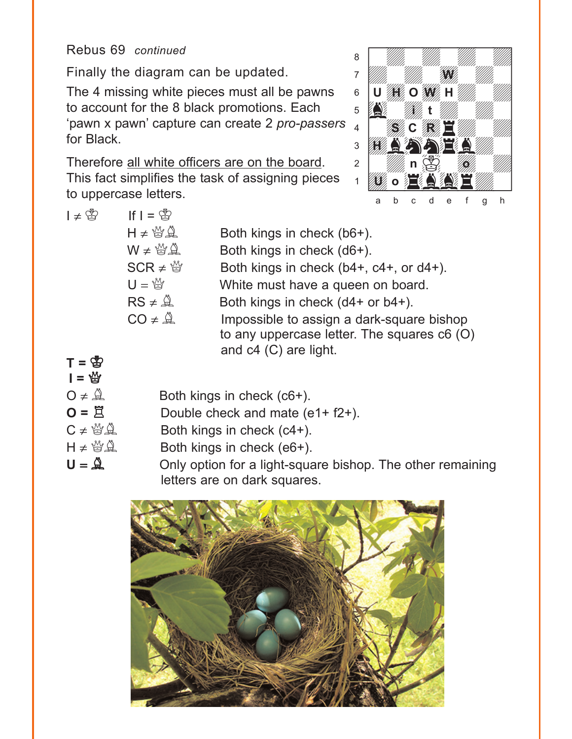# Rebus 69 *continued*

Finally the diagram can be updated.

The 4 missing white pieces must all be pawns to account for the 8 black promotions. Each 'pawn x pawn' capture can create 2 *pro-passers*  for Black.

Therefore all white officers are on the board. This fact simplifies the task of assigning pieces to uppercase letters.



| $I \neq \bigcircledS$ | If $I = \mathbb{S}$    |                                                                                                                   |
|-----------------------|------------------------|-------------------------------------------------------------------------------------------------------------------|
|                       | $H \neq \frac{M}{2}$   | Both kings in check (b6+).                                                                                        |
|                       | $W \neq \frac{M}{2}$   | Both kings in check (d6+).                                                                                        |
|                       | $SCR \neq \frac{M}{Q}$ | Both kings in check (b4+, c4+, or d4+).                                                                           |
|                       | $U = \frac{M}{M}$      | White must have a queen on board.                                                                                 |
|                       | $RS \neq \mathcal{Q}$  | Both kings in check (d4+ or b4+).                                                                                 |
|                       | $CO \neq \mathcal{Q}$  | Impossible to assign a dark-square bishop<br>to any uppercase letter. The squares c6 (O)<br>and c4 (C) are light. |
|                       |                        |                                                                                                                   |

| $I = \frac{M}{2}$ | $T = \bigcircledS$                                        |
|-------------------|-----------------------------------------------------------|
|                   | $O \neq \mathcal{Q}$                                      |
|                   | $O = \Xi$                                                 |
|                   |                                                           |
|                   | $H \neq \, \stackrel{M}{\cong} \, \stackrel{N}{\cong} \,$ |
|                   | $\mathbf{\mathcal{Q}} = \mathbf{U}$                       |

Both kings in check  $(c6+)$ .

- Double check and mate (e1+ f2+).
- Both kings in check  $(c4+)$ .
- Both kings in check  $(e6+)$ .
- Only option for a light-square bishop. The other remaining letters are on dark squares.